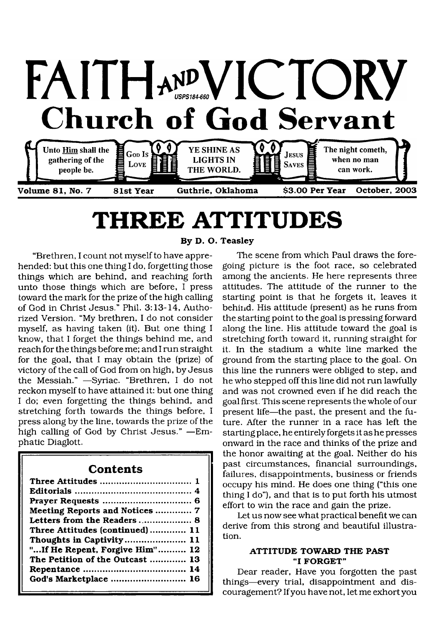

# <span id="page-0-0"></span>**THREE ATTITUDES**

"Brethren, I count not myself to have apprehended: but this one thing I do, forgetting those things which are behind, and reaching forth unto those things which are before, I press toward the mark for the prize of the high calling of God in Christ Jesus." Phil. 3:13-14, Authorized Version. "My brethren, I do not consider myself, as having taken (it). But one thing I know, that I forget the things behind me, and reach for the things before me; and I run straight for the goal, that I may obtain the (prize) of victory of the call of God from on high, by Jesus the Messiah." —Syriac. "Brethren, I do not reckon myself to have attained it: but one thing I do; even forgetting the things behind, and stretching forth towards the things before, I press along by the line, towards the prize of the high calling of God by Christ Jesus." —Emphatic Diaglott.

### **Contents**

| Meeting Reports and Notices  7  |
|---------------------------------|
| Letters from the Readers 8      |
| Three Attitudes (continued)  11 |
| Thoughts in Captivity 11        |
| " If He Repent, Forgive Him" 12 |
| The Petition of the Outcast  13 |
|                                 |
| God's Marketplace  16           |
|                                 |

**By D. O. Teasley**

The scene from which Paul draws the foregoing picture is the foot race, so celebrated among the ancients. He here represents three attitudes. The attitude of the runner to the starting point is that he forgets it, leaves it behind. His attitude (present) as he runs from the starting point to the goal is pressing forward along the line. His attitude toward the goal is stretching forth toward it, running straight for it. In the stadium a white line marked the ground from the starting place to the goal. On this line the runners were obliged to step, and he who stepped off this line did not run lawfully and was not crowned even if he did reach the goal first. This scene represents the whole of our present life—the past, the present and the future. After the runner in a race has left the starting place, he entirely forgets it as he presses onward in the race and thinks of the prize and the honor awaiting at the goal. Neither do his past circumstances, financial surroundings, failures, disappointments, business or friends occupy his mind. He does one thing ("this one thing I do"), and that is to put forth his utmost effort to win the race and gain the prize.

Let us now see what practical benefit we can derive from this strong and beautiful illustration.

#### **ATTITUDE TOWARD THE PAST "I FORGET"**

Dear reader, Have you forgotten the past things—every trial, disappointment and discouragement? If you have not, let me exhort you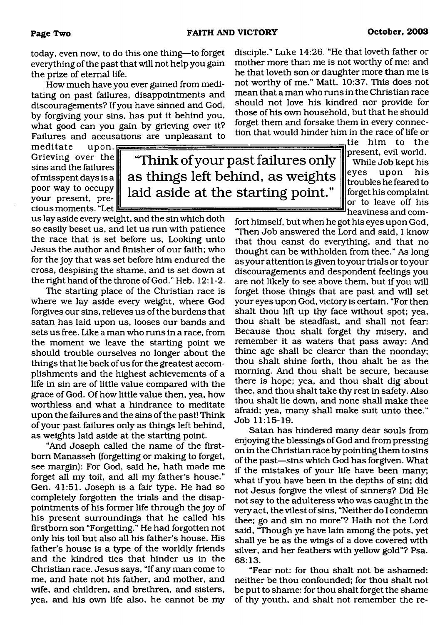today, even now, to do this one thing—to forget everything of the past that will not help you gain the prize of eternal life.

How much have you ever gained from meditating on past failures, disappointments and discouragements? If you have sinned and God, by forgiving your sins, has put it behind you, what good can you gain by grieving over it? Failures and accusations are unpleasant to

meditate upon. Grieving over the sins and the failures of misspent days is a poor way to occupy your present, precious moments. "Let

**'Think of your past failures only as things left behind, as weights laid aside at the starting point."**

us lay aside every weight, and the sin which doth so easily beset us, and let us run with patience the race that is set before us, Looking unto Jesus the author and finisher of our faith; who for the joy that was set before him endured the cross, despising the shame, and is set down at the right hand of the throne of God." Heb. 12:1-2.

The starting place of the Christian race is where we lay aside every weight, where God forgives our sins, relieves us of the burdens that satan has laid upon us, looses our bands and sets us free. Like a man who runs in a race, from the moment we leave the starting point we should trouble ourselves no longer about the things that lie back of us for the greatest accomplishments and the highest achievements of a life in sin are of little value compared with the grace of God. Of how little value then, yea, how worthless and what a hindrance to meditate upon the failures and the sins of the past! Think of your past failures only as things left behind, as weights laid aside at the starting point.

"And Joseph called the name of the firstborn Manasseh (forgetting or making to forget, see margin); For God, said he, hath made me forget all my toil, and all my father's house." Gen. 41:51. Joseph is a fair type. He had so completely forgotten the trials and the disappointments of his former life through the joy of his present surroundings that he called his firstborn son "Forgetting." He had forgotten not only his toil but also all his father's house. His father's house is a type of the worldly friends and the kindred ties that hinder us in the Christian race. Jesus says, "If any man come to me, and hate not his father, and mother, and wife, and children, and brethren, and sisters, yea, and his own life also, he cannot be my

disciple." Luke 14:26. "He that loveth father or mother more than me is not worthy of me: and he that loveth son or daughter more than me is not worthy of me." Matt. 10:37. This does not mean that a man who runs in the Christian race should not love his kindred nor provide for those of his own household, but that he should forget them and forsake them in every connection that would hinder him in the race of life or

> tie him to the present, evil world. While Job kept his eyes upon his troubles he feared to forget his complaint or to leave off his heaviness and com-

fort himself, but when he got his eyes upon God, "Then Job answered the Lord and said, I know that thou canst do everything, and that no thought can be withholden from thee." As long as your attention is given to your trials or to your discouragements and despondent feelings you are not likely to see above them, but if you will forget those things that are past and will set your eyes upon God, victory is certain. "For then shalt thou lift up thy face without spot; yea, thou shalt be steadfast, and shall not fear: Because thou shalt forget thy misery, and remember it as waters that pass away: And thine age shall be clearer than the noonday; thou shalt shine forth, thou shalt be as the morning. And thou shalt be secure, because there is hope; yea, and thou shalt dig about thee, and thou shalt take thy rest in safety. Also thou shalt lie down, and none shall make thee afraid; yea, many shall make suit unto thee." Job 11:15-19.

Satan has hindered many dear souls from enjoying the blessings of God and from pressing on in the Christian race by pointing them to sins of the past—sins which God has forgiven. What if the mistakes of your life have been many; what if you have been in the depths of sin; did not Jesus forgive the vilest of sinners? Did He not say to the adulteress who was caught in the very act, the vilest of sins, "Neither do I condemn thee; go and sin no more"? Hath not the Lord said, "Though ye have lain among the pots, yet shall ye be as the wings of a dove covered with silver, and her feathers with yellow gold"? Psa. 68:13.

"Fear not: for thou shalt not be ashamed: neither be thou confounded; for thou shalt not be put to shame: for thou shalt forget the shame of thy youth, and shalt not remember the re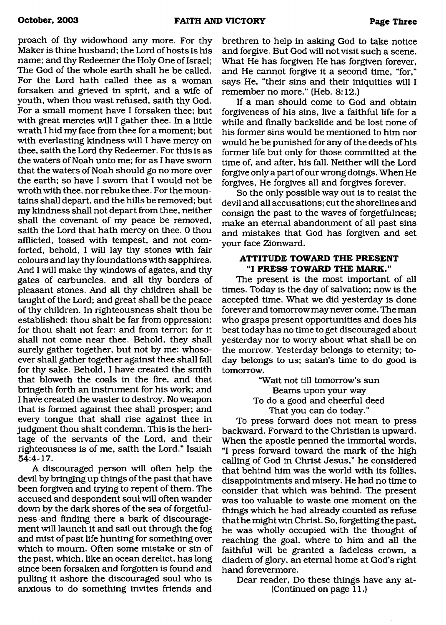proach of thy widowhood any more. For thy Maker is thine husband; the Lord of hosts is his name; and thy Redeemer the Holy One of Israel; The God of the whole earth shall he be called. For the Lord hath called thee as a woman forsaken and grieved in spirit, and a wife of youth, when thou wast refused, saith thy God. For a small moment have I forsaken thee; but with great mercies will I gather thee. In a little wrath I hid my face from thee for a moment; but with everlasting kindness will I have mercy on thee, saith the Lord thy Redeemer. For this is as the waters of Noah unto me; for as I have sworn that the waters of Noah should go no more over the earth; so have I sworn that I would not be wroth with thee, nor rebuke thee. For the mountains shall depart, and the hills be removed; but my kindness shall not depart from thee, neither shall the covenant of my peace be removed, saith the Lord that hath mercy on thee. 0 thou afflicted, tossed with tempest, and not comforted, behold, I will lay thy stones with fair colours and lay thy foundations with sapphires. And I will make thy windows of agates, and thy gates of carbuncles, and all thy borders of pleasant stones. And all thy children shall be taught of the Lord; and great shall be the peace of thy children. In righteousness shalt thou be established: thou shalt be far from oppression; for thou shalt not fear: and from terror; for it shall not come near thee. Behold, they shall surely gather together, but not by me: whosoever shall gather together against thee shall fall for thy sake. Behold, I have created the smith that bloweth the coals in the fire, and that bringeth forth an instrument for his work; and I have created the waster to destroy. No weapon that is formed against thee shall prosper; and every tongue that shall rise against thee in judgment thou shalt condemn. This is the heritage of the servants of the Lord, and their righteousness is of me, saith the Lord." Isaiah 54:4-17.

A discouraged person will often help the devil by bringing up things of the past that have been forgiven and trying to repent of them. The accused and despondent soul will often wander down by the dark shores of the sea of forgetfulness and finding there a bark of discouragement will launch it and sail out through the fog and mist of past life hunting for something over which to mourn. Often some mistake or sin of the past, which, like an ocean derelict, has long since been forsaken and forgotten is found and pulling it ashore the discouraged soul who is anxious to do something invites friends and brethren to help in asking God to take notice and forgive. But God will not visit such a scene. What He has forgiven He has forgiven forever, and He cannot forgive it a second time, "for," says He, "their sins and their iniquities will I remember no more." (Heb. 8:12.)

If a man should come to God and obtain forgiveness of his sins, live a faithful life for a while and finally backslide and be lost none of his former sins would be mentioned to him nor would he be punished for any of the deeds of his former life but only for those committed at the time of, and after, his fall. Neither will the Lord forgive only a part of our wrong doings. When He forgives, He forgives all and forgives forever.

So the only possible way out is to resist the devil and all accusations; cut the shorelines and consign the past to the waves of forgetfulness; make an eternal abandonment of all past sins and mistakes that God has forgiven and set your face Zionward.

#### **ATTITUDE TOWARD THE PRESENT "I PRESS TOWARD THE MARK ."**

The present is the most important of all times. Today is the day of salvation; now is the accepted time. What we did yesterday is done forever and tomorrow may never come. The man who grasps present opportunities and does his best today has no time to get discouraged about yesterday nor to worry about what shall be on the morrow. Yesterday belongs to eternity; today belongs to us; satan's time to do good is tomorrow.

"Wait not till tomorrow's sun Beams upon your way To do a good and cheerful deed That you can do today."

To press forward does not mean to press backward. Forward to the Christian is upward. When the apostle penned the immortal words, "I press forward toward the mark of the high calling of God in Christ Jesus," he considered that behind him was the world with its follies, disappointments and misery. He had no time to consider that which was behind. The present was too valuable to waste one moment on the things which he had already counted as refuse that he might win Christ. So, forgetting the past, he was wholly occupied with the thought of reaching the goal, where to him and all the faithful will be granted a fadeless crown, a diadem of glory, an eternal home at God's right hand forevermore.

Dear reader, Do these things have any at- (Continued on page 11.)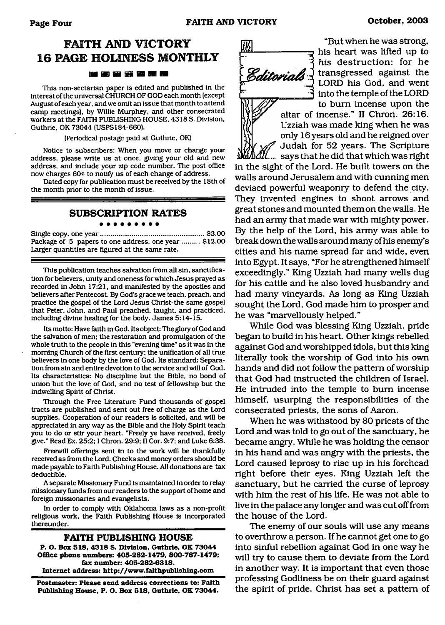# **FAITH AND VICTORY 16 PAGE HOLINESS MONTHLY**

#### 医神智囊菌素属

This non-sectarian paper is edited and published in the interest of the universal CHURCH OF GOD each month (except August of each year, and we omit an issue that month to attend camp meetings), by Willie Murphey, and other consecrated workers at the FAITH PUBLISHING HOUSE, 4318 S. Division, Guthrie, OK 73044 (USPS184-660).

(Periodical postage paid at Guthrie, OK)

Notice to subscribers: When you move or change your address, please write us at once, giving your old and new address, and include your zip code number. The post office now charges 60¢ to notify us of each change of address.

Dated copy for publication must be received by the 18th of the month prior to the month of issue.

#### **SUBSCRIPTION RATES**

#### . . . . . . . . .

Single copy, one year......................................................\$3.00 Package of 5 papers to one address, one year ......... \$12.00 Larger quantities are figured at the same rate.

This publication teaches salvation from all sin, sanctification for believers, unity and oneness for which Jesus prayed as recorded in John 17:21, and manifested by the apostles and believers after Pentecost. By God's grace we teach, preach, and practice the gospel of the Lord Jesus Christ-the same gospel that Peter, John, and Paul preached, taught, and practiced, including divine healing for the body. James 5:14-15.

Its motto: Have faith in God. Its object: The glory of God and the salvation of men; the restoration and promulgation of the whole truth to the people in this "evening time" as it was in the morning Church of the first century: the unification of all true believers in one body by the love of God. Its standard: Separation from sin and entire devotion to the service and will of God. Its characteristics: No discipline but the Bible, no bond of union but the love of God, and no test of fellowship but the indwelling Spirit of Christ.

Through the Free Literature Fund thousands of gospel tracts are published and sent out free of charge as the Lord supplies. Cooperation of our readers is solicited, and will be appreciated in any way as the Bible and the Holy Spirit teach you to do or stir your heart. "Freely ye have received, freely give." Read Ex. 25:2; I Chron. 29:9; II Cor. 9:7; and Luke 6:38.

Freewill offerings sent in to the work will be thankfully received as from the Lord. Checks and money orders should be made payable to Faith Publishing House. All donations are tax deductible.

A separate Missionary Fund is maintained in order to relay missionary funds from our readers to the support of home and foreign missionaries and evangelists.

In order to comply with Oklahoma laws as a non-profit religious work, the Faith Publishing House is incorporated thereunder.

#### **FAITH PUBLISHING HOUSE**

**P. O. Box 518, 4318** S. **Division, Guthrie. OK 73044 Office phone numbers: 405-282-1479, 800-767-1479; fax number: 405-282-6318. Internet address: <http://www.faithpublishing.com>**

**Postmaster: Please send address corrections to: Faith Publishing House, P. O. Box 518, Guthrie, OK 73044.**



**m** "But when he was strong,<br> **his heart was lifted up to** *his* destruction: for he **Editorials** I transgressed against the LORD his God, and went into the temple of the LORD to bum incense upon the

Uzziah was made king when he was only 16 years old and he reigned over Judah for 52 years. The Scripture says that he did that which was right in the sight of the Lord. He built towers on the walls around Jerusalem and with cunning men devised powerful weaponry to defend the city. They invented engines to shoot arrows and great stones and mounted them on the walls. He had an army that made war with mighty power. By the help of the Lord, his army was able to break down the walls around many of his enemy's cities and his name spread far and wide, even into Egypt. It says, "For he strengthened himself exceedingly." King Uzziah had many wells dug for his cattle and he also loved husbandry and had many vineyards. As long as King Uzziah sought the Lord, God made him to prosper and he was "marvellously helped."

While God was blessing King Uzziah, pride began to build in his heart. Other kings rebelled against God and worshipped idols, but this king literally took the worship of God into his own hands and did not follow the pattern of worship that God had instructed the children of Israel. He intruded into the temple to bum incense himself, usurping the responsibilities of the consecrated priests, the sons of Aaron.

When he was withstood by 80 priests of the Lord and was told to go out of the sanctuary, he became angry. While he was holding the censor in his hand and was angry with the priests, the Lord caused leprosy to rise up in his forehead right before their eyes. King Uzziah left the sanctuary, but he carried the curse of leprosy with him the rest of his life. He was not able to live in the palace any longer and was cut off from the house of the Lord.

The enemy of our souls will use any means to overthrow a person. If he cannot get one to go into sinful rebellion against God in one way he will try to cause them to deviate from the Lord in another way. It is important that even those professing Godliness be on their guard against the spirit of pride. Christ has set a pattern of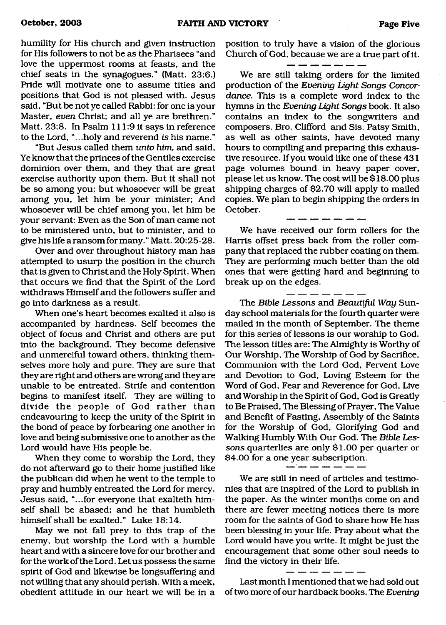humility for His church and given instruction for His followers to not be as the Pharisees "and love the uppermost rooms at feasts, and the chief seats in the synagogues." (Matt. 23:6.) Pride will motivate one to assume titles and positions that God is not pleased with. Jesus said, "But be not ye called Rabbi: for one is your Master, *even* Christ; and all ye are brethren." Matt. 23:8. In Psalm 111:9 it says in reference to the Lord, "...holy and reverend *is* his name."

"But Jesus called them *unto him,* and said, Ye know that the princes of the Gentiles exercise dominion over them, and they that are great exercise authority upon them. But it shall not be so among you: but whosoever will be great among you, let him be your minister; And whosoever will be chief among you, let him be your servant: Even as the Son of man came not to be ministered unto, but to minister, and to give his life a ransom for many." Matt. 20:25-28.

Over and over throughout history man has attempted to usurp the position in the church that is given to Christ and the Holy Spirit. When that occurs we find that the Spirit of the Lord withdraws Himself and the followers suffer and go into darkness as a result.

When one's heart becomes exalted it also is accompanied by hardness. Self becomes the object of focus and Christ and others are put into the background. They become defensive and unmerciful toward others, thinking themselves more holy and pure. They are sure that they are right and others are wrong and they are unable to be entreated. Strife and contention begins to manifest itself. They are willing to divide the people of God rather than endeavouring to keep the unity of the Spirit in the bond of peace by forbearing one another in love and being submissive one to another as the Lord would have His people be.

When they come to worship the Lord, they do not afterward go to their home justified like the publican did when he went to the temple to pray and humbly entreated the Lord for mercy. Jesus said, "...for everyone that exalteth himself shall be abased; and he that humbleth himself shall be exalted." Luke 18:14.

May we not fall prey to this trap of the enemy, but worship the Lord with a humble heart and with a sincere love for our brother and for the work of the Lord. Let us possess the same spirit of God and likewise be longsuffering and not willing that any should perish. With a meek, obedient attitude in our heart we will be in a position to truly have a vision of the glorious Church of God, because we are a true part of it.

We are still taking orders for the limited production of the *Evening* Light *Songs Concordance.* This is a complete word index to the hymns in the *Evening Light Songs* book. It also contains an index to the songwriters and composers. Bro. Clifford and Sis. Patsy Smith, as well as other saints, have devoted many hours to compiling and preparing this exhaustive resource. If you would like one of these 431 page volumes bound in heavy paper cover, please let us know. The cost will be \$18.00 plus shipping charges of \$2.70 will apply to mailed copies. We plan to begin shipping the orders in October.

We have received our form rollers for the Harris offset press back from the roller company that replaced the rubber coating on them. They are performing much better than the old ones that were getting hard and beginning to break up on the edges.

The *Bible Lessons* and *Beautiful Way* Sunday school materials for the fourth quarter were mailed in the month of September. The theme for this series of lessons is our worship to God. The lesson titles are: The Almighty is Worthy of Our Worship, The Worship of God by Sacrifice, Communion with the Lord God, Fervent Love and Devotion to God, Loving Esteem for the Word of God, Fear and Reverence for God, Live and Worship in the Spirit of God, God is Greatly to Be Praised, The Blessing of Prayer, The Value and Benefit of Fasting, Assembly of the Saints for the Worship of God, Glorifying God and Walking Humbly With Our God. The *Bible Lessons* quarterlies are only \$1.00 per quarter or \$4.00 for a one year subscription.

We are still in need of articles and testimonies that are inspired of the Lord to publish in the paper. As the winter months come on and there are fewer meeting notices there is more room for the saints of God to share how He has been blessing in your life. Pray about what the Lord would have you write. It might be just the encouragement that some other soul needs to find the victory in their life.

Last month I mentioned that we had sold out of two more of our hardback books. The *Evening*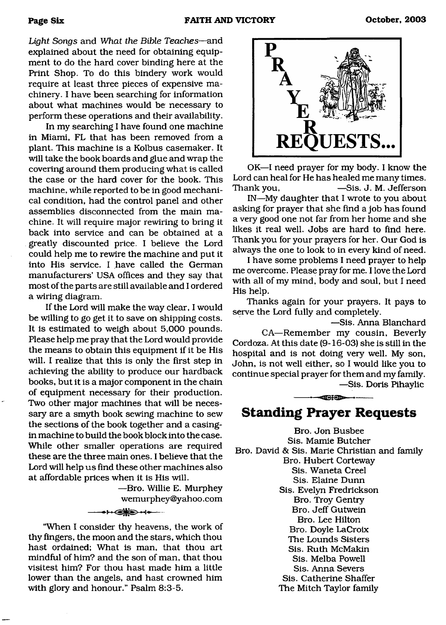*Light Songs* and *What the Bible Teaches*—and explained about the need for obtaining equipment to do the hard cover binding here at the Print Shop. To do this bindery work would require at least three pieces of expensive machinery. I have been searching for information about what machines would be necessary to perform these operations and their availability.

In my searching I have found one machine in Miami, FL that has been removed from a plant. This machine is a Kolbus casemaker. It will take the book boards and glue and wrap the covering around them producing what is called the case or the hard cover for the book. This machine, while reported to be in good mechanical condition, had the control panel and other assemblies disconnected from the main machine. It will require major rewiring to bring it back into service and can be obtained at a greatly discounted price. I believe the Lord could help me to rewire the machine and put it into His service. I have called the German manufacturers' USA offices and they say that most of the parts are still available and I ordered a wiring diagram.

If the Lord will make the way clear, I would be willing to go get it to save on shipping costs. It is estimated to weigh about 5,000 pounds. Please help me pray that the Lord would provide the means to obtain this equipment if it be His will. I realize that this is only the first step in achieving the ability to produce our hardback books, but it is a major component in the chain of equipment necessary for their production. Two other major machines that will be necessary are a smyth book sewing machine to sew the sections of the book together and a casingin machine to build the book block into the case. While other smaller operations are required these are the three main ones. I believe that the Lord will help us find these other machines also at affordable prices when it is His will.

> —Bro. Willie E. Murphey wemurphey@yahoo. com

"When I consider thy heavens, the work of thy fingers, the moon and the stars, which thou hast ordained; What is man, that thou art mindful of him? and the son of man, that thou visitest him? For thou hast made him a little lower than the angels, and hast crowned him with glory and honour." Psalm 8:3-5.

 $\leftrightarrow$ 



OK—I need prayer for my body. I know the Lord can heal for He has healed me many times. Thank you, 
—Sis. J. M. Jefferson

IN—My daughter that I wrote to you about asking for prayer that she find a job has found a very good one not far from her home and she likes it real well. Jobs are hard to find here. Thank you for your prayers for her. Our God is always the one to look to in every kind of need.

I have some problems I need prayer to help me overcome. Please pray for me. I love the Lord with all of my mind, body and soul, but I need His help.

Thanks again for your prayers. It pays to serve the Lord fully and completely.

—Sis. Anna Blanchard CA—Remember my cousin, Beverly Cordoza. At this date (9-16-03) she is still in the hospital and is not doing very well. My son, John, is not well either, so I would like you to continue special prayer for them and my family. —Sis. Doris Pihaylic

**Standing Prayer Requests**

 $-$ 

Bro. Jon Busbee Sis. Mamie Butcher Bro. David & Sis. Marie Christian and family Bro. Hubert Corteway Sis. Waneta Creel Sis. Elaine Dunn Sis. Evelyn Fredrickson Bro. Troy Gentry Bro. Jeff Gutwein Bro. Lee Hilton Bro. Doyle LaCroix The Lounds Sisters Sis. Ruth McMakin Sis. Melba Powell Sis. Anna Severs Sis. Catherine Shaffer The Mitch Taylor family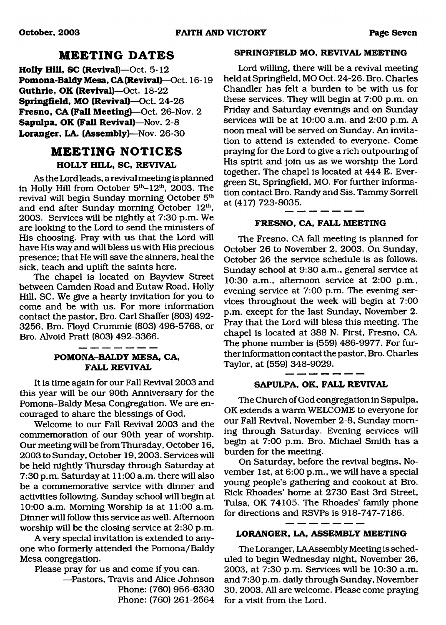### **MEETING DATES**

**Holly Hill, SC (Revival)—**Oct. 5-12 **Pomona-Baldy Mesa, CA (Revival)**—Oct. 16-19 **Guthrie, OK (Revival)—**Oct. 18-22 **Springfield, MO (Revival)**—Oct. 24-26 **Fresno, CA (Fall Meeting)**—Oct. 26-Nov. 2 **Sapulpa, OK (Fall Revival)**—Nov. 2-8 **Loranger, LA. (Assembly)**—Nov. 26-30

## **MEETING NOTICES HOLLY HILL, SC, REVIVAL**

As the Lord leads, a revival meeting is planned in Holly Hill from October  $5<sup>th</sup>-12<sup>th</sup>$ , 2003. The revival will begin Sunday morning October 5<sup>th</sup> and end after Sunday morning October 12<sup>th</sup>, 2003. Services will be nightly at 7:30 p.m. We are looking to the Lord to send the ministers of His choosing. Pray with us that the Lord will have His way and will bless us with His precious presence; that He will save the sinners, heal the sick, teach and uplift the saints here.

The chapel is located on Bayview Street between Camden Road and Eutaw Road, Holly Hill, SC. We give a hearty invitation for you to come and be with us. For more information contact the pastor, Bro. Carl Shaffer (803) 492- 3256, Bro. Floyd Crummie (803) 496-5768, or Bro. Alvoid Pratt (803) 492-3366.

### **POMONA-BALDY MESA, CA, FALL REVIVAL**

It is time again for our Fall Revival 2003 and this year will be our 90th Anniversary for the Pomona-Baldy Mesa Congregation. We are encouraged to share the blessings of God.

Welcome to our Fall Revival 2003 and the commemoration of our 90th year of worship. Our meeting will be from Thursday, October 16, 2003 to Sunday, October 19,2003. Services will be held nightly Thursday through Saturday at 7:30 p.m. Saturday at 11:00 a.m. there will also be a commemorative service with dinner and activities following. Sunday school will begin at 10:00 a.m. Morning Worship is at 11:00 a.m. Dinner will follow this service as well. Afternoon worship will be the closing service at 2:30 p.m.

A very special invitation is extended to anyone who formerly attended the Pomona/Baldy Mesa congregation.

Please pray for us and come if you can.

—Pastors, Travis and Alice Johnson Phone: (760) 956-6330 Phone: (760) 261-2564

#### **SPRINGFIELD MO, REVIVAL MEETING**

Lord willing, there will be a revival meeting held at Springfield, MO Oct. 24-26. Bro. Charles Chandler has felt a burden to be with us for these services. They will begin at 7:00 p.m. on Friday and Saturday evenings and on Sunday services will be at 10:00 a.m. and 2:00 p.m. A noon meal will be served on Sunday. An invitation to attend is extended to everyone. Come praying for the Lord to give a rich outpouring of His spirit and join us as we worship the Lord together. The chapel is located at 444 E. Evergreen St, Springfield, MO. For further information contact Bro. Randy and Sis. Tammy Sorrell at (417) 723-8035.

#### **FRESNO, CA, FALL MEETING**

The Fresno, CA fall meeting is planned for October 26 to November 2, 2003. On Sunday, October 26 the service schedule is as follows. Sunday school at 9:30 a.m., general service at 10:30 a.m., afternoon service at 2:00 p.m., evening service at 7:00 p.m. The evening services throughout the week will begin at 7:00 p.m. except for the last Sunday, November 2. Pray that the Lord will bless this meeting. The chapel is located at 388 N. First, Fresno, CA. The phone number is (559) 486-9977. For further information contact the pastor, Bro. Charles Taylor, at (559) 348-9029.

#### **SAPULPA, OK, FALL REVIVAL**

The Church of God congregation in Sapulpa, OK extends a warm WELCOME to everyone for our Fall Revival, November 2-8, Sunday morning through Saturday. Evening services will begin at 7:00 p.m. Bro. Michael Smith has a burden for the meeting.

On Saturday, before the revival begins, November 1st, at 6:00 p.m., we will have a special young people's gathering and cookout at Bro. Rick Rhoades' home at 2730 East 3rd Street, Tulsa, OK 74105. The Rhoades' family phone for directions and RSVPs is 918-747-7186.

#### **LORANGER, LA, ASSEMBLY MEETING**

The Loranger, LA Assembly Meeting is scheduled to begin Wednesday night, November 26, 2003, at 7:30 p.m. Services will be 10:30 a.m. and 7:30 p.m. daily through Sunday, November 30, 2003. All are welcome. Please come praying for a visit from the Lord.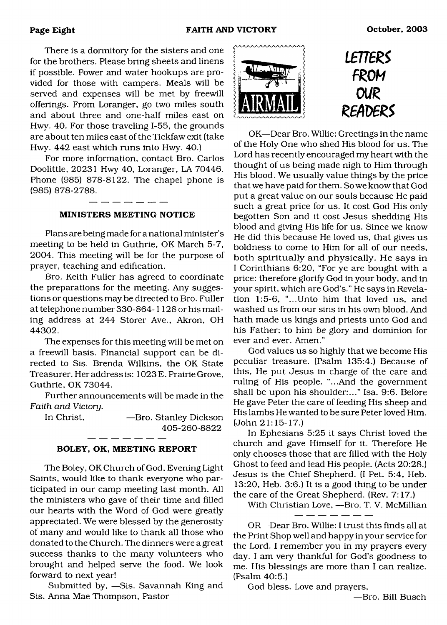There is a dormitory for the sisters and one for the brothers. Please bring sheets and linens if possible. Power and water hookups are provided for those with campers. Meals will be served and expenses will be met by freewill offerings. From Loranger, go two miles south and about three and one-half miles east on Hwy. 40. For those traveling 1-55, the grounds are about ten miles east of the Tickfaw exit (take Hwy. 442 east which runs into Hwy. 40.)

For more information, contact Bro. Carlos Doolittle, 20231 Hwy 40, Loranger, LA 70446. Phone (985) 878-8122. The chapel phone is (985) 878-2788.

#### **MINISTERS MEETING NOTICE**

Plans are being made for a national minister's meeting to be held in Guthrie, OK March 5-7, 2004. This meeting will be for the purpose of prayer, teaching and edification.

Bro. Keith Fuller has agreed to coordinate the preparations for the meeting. Any suggestions or questions may be directed to Bro. Fuller at telephone number 330-864-1128 or his mailing address at 244 Storer Ave., Akron, OH 44302.

The expenses for this meeting will be met on a freewill basis. Financial support can be directed to Sis. Brenda Wilkins, the OK State Treasurer. Her address is: 1023 E. Prairie Grove, Guthrie, OK 73044.

Further announcements will be made in the *Faith and Victory.*

In Christ, **—Bro. Stanley Dickson** 405-260-8822

#### **BOLEY, OK, MEETING REPORT**

The Boley, OK Church of God, Evening Light Saints, would like to thank everyone who participated in our camp meeting last month. All the ministers who gave of their time and filled our hearts with the Word of God were greatly appreciated. We were blessed by the generosity of many and would like to thank all those who donated to the Church. The dinners were a great success thanks to the many volunteers who brought and helped serve the food. We look forward to next year!

Submitted by, —Sis. Savannah King and Sis. Anna Mae Thompson, Pastor



*imezs*  $F$  *ROM m mx>ez\$*

OK—Dear Bro. Willie: Greetings in the name of the Holy One who shed His blood for us. The Lord has recently encouraged my heart with the thought of us being made nigh to Him through His blood. We usually value things by the price that we have paid for them. So we know that God put a great value on our souls because He paid such a great price for us. It cost God His only begotten Son and it cost Jesus shedding His blood and giving His life for us. Since we know He did this because He loved us, that gives us boldness to come to Him for all of our needs, both spiritually and physically. He says in I Corinthians 6:20, "For ye are bought with a price: therefore glorify God in your body, and in your spirit, which are God's." He says in Revelation 1:5-6, "...Unto him that loved us, and washed us from our sins in his own blood, And hath made us kings and priests unto God and his Father; to him *he* glory and dominion for ever and ever. Amen."

God values us so highly that we become His peculiar treasure. (Psalm 135:4.) Because of this. He put Jesus in charge of the care and ruling of His people. "...And the government shall be upon his shoulder:..." Isa. 9:6. Before He gave Peter the care of feeding His sheep and His lambs He wanted to be sure Peter loved Him. (John 21:15-17.)

In Ephesians 5:25 it says Christ loved the church and gave Himself for it. Therefore He only chooses those that are filled with the Holy Ghost to feed and lead His people. (Acts 20:28.) Jesus is the Chief Shepherd. (I Pet. 5:4, Heb. 13:20, Heb. 3:6.) It is a good thing to be under the care of the Great Shepherd. (Rev. 7:17.)

With Christian Love, —Bro. T. V. McMillian

OR—Dear Bro. Willie: I trust this finds all at the Print Shop well and happy in your service for the Lord. I remember you in my prayers every day. I am very thankful for God's goodness to me. His blessings are more than I can realize. (Psalm 40:5.)

God bless. Love and prayers,

—Bro. Bill Busch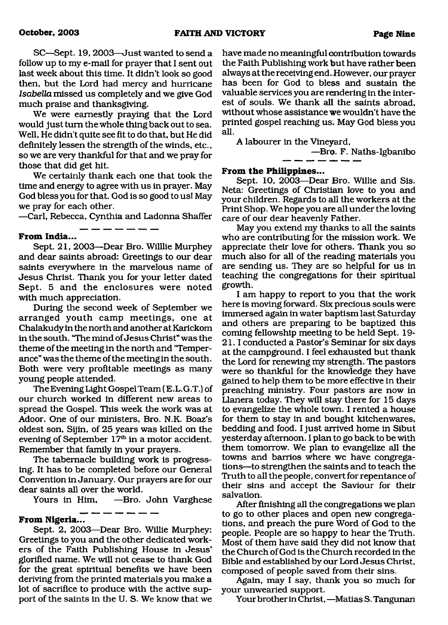SC—Sept. 19,2003—Just wanted to send a follow up to my e-mail for prayer that I sent out last week about this time. It didn't look so good then, but the Lord had mercy and hurricane *Isabella* missed us completely and we give God much praise and thanksgiving.

We were earnestly praying that the Lord would just turn the whole thing back out to sea. Well, He didn't quite see fit to do that, but He did definitely lessen the strength of the winds, etc., so we are very thankful for that and we pray for those that did get hit.

We certainly thank each one that took the time and energy to agree with us in prayer. May God bless you for that. God is so good to us! May we pray for each other.

—Carl, Rebecca, Cynthia and Ladonna Shaffer

#### **From India...**

Sept. 21, 2003—Dear Bro. Willlie Murphey and dear saints abroad: Greetings to our dear saints everywhere in the marvelous name of Jesus Christ. Thank you for your letter dated Sept. 5 and the enclosures were noted with much appreciation.

During the second week of September we arranged youth camp meetings, one at Chalakudy in the north and another at Karickom in the south. "The mind of Jesus Christ" was the theme of the meeting in the north and 'Temperance" was the theme of the meeting in the south. Both were very profitable meetings as many young people attended.

The Evening Light Gospel Team (E.L.G.T.) of our church worked in different new areas to spread the Gospel. This week the work was at Adoor. One of our ministers, Bro. N.K. Boaz's oldest son, Sijin, of 25 years was killed on the evening of September 17<sup>th</sup> in a motor accident. Remember that family in your prayers.

The tabernacle building work is progressing. It has to be completed before our General Convention in January. Our prayers are for our dear saints all over the world.

Yours in Him, —Bro. John Varghese -----------

### **From Nigeria...**

Sept. 2, 2003—Dear Bro. Willie Murphey: Greetings to you and the other dedicated workers of the Faith Publishing House in Jesus' glorified name. We will not cease to thank God for the great spiritual benefits we have been deriving from the printed materials you make a lot of sacrifice to produce with the active support of the saints in the U. S. We know that we have made no meaningful contribution towards the Faith Publishing work but have rather been always at the receiving end.However, our prayer has been for God to bless and sustain the valuable services you are rendering in the interest of souls. We thank all the saints abroad, without whose assistance we wouldn't have the printed gospel reaching us. May God bless you all.

A labourer in the Vineyard,

—Bro. F. Naths-Igbanibo

### **From the Philippines...**

Sept. 10, 2003—Dear Bro. Willie and Sis. Neta: Greetings of Christian love to you and your children. Regards to all the workers at the Print Shop. We hope you are all under the loving care of our dear heavenly Father.

May you extend my thanks to all the saints who are contributing for the mission work. We appreciate their love for others. Thank you so much also for all of the reading materials you are sending us. They are so helpful for us in teaching the congregations for their spiritual growth.

I am happy to report to you that the work here is moving forward. Six precious souls were immersed again in water baptism last Saturday and others are preparing to be baptized this coming fellowship meeting to be held Sept. 19- 21.1 conducted a Pastor's Seminar for six days at the campground. I feel exhausted but thank the Lord for renewing my strength. The pastors were so thankful for the knowledge they have gained to help them to be more effective in their preaching ministry. Four pastors are now in Llanera today. They will stay there for 15 days to evangelize the whole town. I rented a house for them to stay in and bought kitchenwares, bedding and food. I just arrived home in Sibut yesterday afternoon. I plan to go back to be with them tomorrow. We plan to evangelize all the towns and barrios where we have congregations—to strengthen the saints and to teach the Truth to all the people, convert for repentance of their sins and accept the Saviour for their salvation.

After finishing all the congregations we plan to go to other places and open new congregations, and preach the pure Word of God to the people. People are so happy to hear the Truth. Most of them have said they did not know that the Church of God is the Church recorded in the Bible and established by our Lord Jesus Christ, composed of people saved from their sins.

Again, may I say, thank you so much for your unwearied support.

Your brother in Christ, —Matias S. Tangunan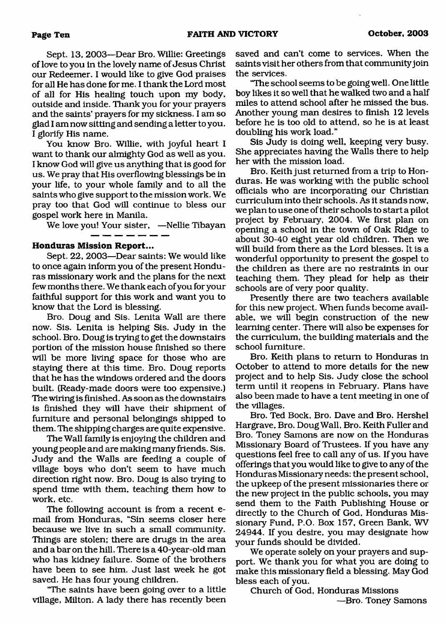Sept. 13, 2003—Dear Bro. Willie: Greetings of love to you in the lovely name of Jesus Christ our Redeemer. I would like to give God praises for all He has done for me. I thank the Lord most of all for His healing touch upon my body, outside and inside. Thank you for your prayers and the saints' prayers for my sickness. I am so glad I am now sitting and sending a ietter to you. I glorify His name.

You know Bro. Willie, with joyful heart I want to thank our almighty God as well as you. I know God will give us anything that is good for us. We pray that His overflowing blessings be in your life, to your whole family and to all the saints who give support to the mission work. We pray too that God will continue to bless our gospel work here in Manila.

We love you! Your sister, —Nellie Tibayan

#### **Honduras Mission Report...**

Sept. 22, 2003—Dear saints: We would like to once again inform you of the present Honduras missionary work and the plans for the next few months there. We thank each of you for your faithful support for this work and want you to know that the Lord is blessing.

Bro. Doug and Sis. Lenita Wall are there now. Sis. Lenita is helping Sis. Judy in the school. Bro. Doug is trying to get the downstairs portion of the mission house finished so there will be more living space for those who are staying there at this time. Bro. Doug reports that he has the windows ordered and the doors built. (Ready-made doors were too expensive.) The wiring is finished. As soon as the downstairs is finished they will have their shipment of furniture and personal belongings shipped to them. The shipping charges are quite expensive.

The Wall family is enjoying the children and young people and are making many friends. Sis. Judy and the Walls are feeding a couple of village boys who don't seem to have much direction right now. Bro. Doug is also trying to spend time with them, teaching them how to work, etc.

The following account is from a recent email from Honduras, "Sin seems closer here because we live in such a small community. Things are stolen; there are drugs in the area and a bar on the hill. There is a 40-year-old man who has kidney failure. Some of the brothers have been to see him. Just last week he got saved. He has four young children.

"The saints have been going over to a little village, Milton. A lady there has recently been saved and can't come to services. When the saints visit her others from that community join the services.

"The school seems to be going well. One little boy likes it so well that he walked two and a half miles to attend school after he missed the bus. Another young man desires to finish 12 levels before he is too old to attend, so he is at least doubling his work load."

Sis Judy is doing well, keeping very busy. She appreciates having the Walls there to help her with the mission load.

Bro. Keith just returned from a trip to Honduras. He was working with the public school officials who are incorporating our Christian curriculum into their schools. As it stands now, we plan to use one of their schools to start a pilot project by February, 2004. We first plan on opening a school in the town of Oak Ridge to about 30-40 eight year old children. Then we will build from there as the Lord blesses. It is a wonderful opportunity to present the gospel to the children as there are no restraints in our teaching them. They plead for help as their schools are of very poor quality.

Presently there are two teachers available for this new project. When funds become available, we will begin construction of the new learning center. There will also be expenses for the curriculum, the building materials and the school furniture.

Bro. Keith plans to return to Honduras in October to attend to more details for the new project and to help Sis. Judy close the school term until it reopens in February. Plans have also been made to have a tent meeting in one of the villages.

Bro. Ted Bock, Bro. Dave and Bro. Hershel Hargrave, Bro. Doug Wall, Bro. Keith Fuller and Bro. Toney Samons are now on the Honduras Missionary Board of Trustees. If you have any questions feel free to call any of us. If you have offerings that you would like to give to any of the Honduras Missionary needs: the present school, the upkeep of the present missionaries there or the new project in the public schools, you may send them to the Faith Publishing House or directly to the Church of God, Honduras Missionary Fund, P.O. Box 157, Green Bank, WV 24944. If you desire, you may designate how your funds should be divided.

We operate solely on your prayers and support. We thank you for what you are doing to make this missionary field a blessing. May God bless each of you.

Church of God, Honduras Missions —Bro. Toney Samons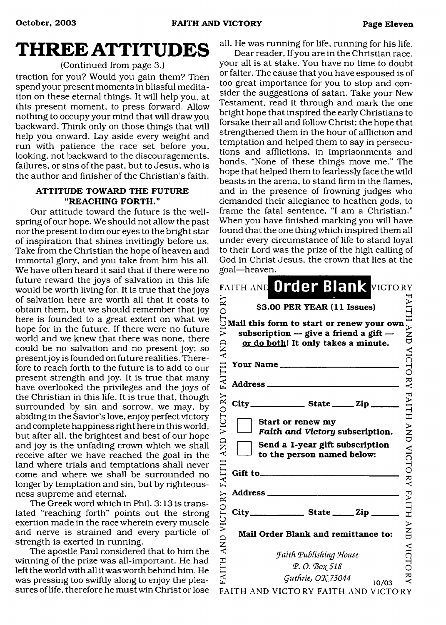# **THREE ATTITUDES**

### (Continued from page 3.)

traction for you? Would you gain them? Then spend your present moments in blissful meditation on these eternal things. It will help you, at this present moment, to press forward. Allow nothing to occupy your mind that will draw you backward. Think only on those things that will help you onward. Lay aside every weight and run with patience the race set before you, looking, not backward to the discouragements, failures, or sins of the past, but to Jesus, who is the author and finisher of the Christian's faith.

#### **ATTITUDE TOWARD THE FUTURE** "REACHING FORTH."

Our attitude toward the future is the wellspring of our hope. We should not allow the past nor the present to dim our eyes to the bright star of inspiration that shines invitingly before us. Take from the Christian the hope of heaven and immortal glory, and you take from him his all. We have often heard it said that if there were no future reward the joys of salvation in this life would be worth living for. It is true that the joys of salvation here are worth all that it costs to obtain them, but we should remember that joy here is founded to a great extent on what we hope for in the future. If there were no future world and we knew that there was none, there could be no salvation and no present joy; so present joy is founded on future realities. Therefore to reach forth to the future is to add to our present strength and joy. It is true that many have overlooked the privileges and the joys of the Christian in this life. It is true that, though surrounded by sin and sorrow, we may, by abiding in the Savior's love, enjoy perfect victory and complete happiness right here in this world, but after all, the brightest and best of our hope and joy is the unfading crown which we shall receive after we have reached the goal in the land where trials and temptations shall never come and where we shall be surrounded no longer by temptation and sin, but by righteousness supreme and eternal.

The Greek word which in Phil. 3:13 is translated "reaching forth" points out the strong exertion made in the race wherein every muscle and nerve is strained and every particle of strength is exerted in running.

The apostle Paul considered that to him the winning of the prize was all-important. He had left the world with all it was worth behind him. He was pressing too swiftly along to enjoy the pleasures of life, therefore he must win Christ or lose

all. He was running for life, running for his life.

Dear reader, If you are in the Christian race, your all is at stake. You have no time to doubt or falter. The cause that you have espoused is of too great importance for you to stop and consider the suggestions of satan. Take your New Testament, read it through and mark the one bright hope that inspired the early Christians to forsake their all and follow Christ; the hope that strengthened them in the hour of affliction and temptation and helped them to say in persecutions and afflictions, in imprisonments and bonds, "None of these things move me." The hope that helped them to fearlessly face the wild beasts in the arena, to stand firm in the flames, and in the presence of frowning judges who demanded their allegiance to heathen gods, to frame the fatal sentence, "I am a Christian." When you have finished marking you will have found that the one thing which inspired them all under every circumstance of life to stand loyal to their Lord was the prize of the high calling of God in Christ Jesus, the crown that lies at the goal—heaven.

|                                           | FAITH AND Order Blank VICTORY                                                                                                 |                  |
|-------------------------------------------|-------------------------------------------------------------------------------------------------------------------------------|------------------|
| ≳                                         | \$3.00 PER YEAR (11 Issues)                                                                                                   |                  |
| $\breve{\equiv}$<br><b>UNY</b>            | Mail this form to start or renew your own<br>subscription $-$ give a friend a gift $-$<br>or do both! It only takes a minute. | VNY)             |
| H                                         | Your Name                                                                                                                     | VICTC            |
| FAIT                                      |                                                                                                                               | $\frac{1}{2}$    |
| $\stackrel{\textstyle\thicksim}{\approx}$ |                                                                                                                               | <b>FAITH</b>     |
| VICTO                                     | Start or renew my<br>Faith and Victory subscription.                                                                          | HNP<br>D         |
| <b>QNY</b>                                | Send a 1-year gift subscription<br>to the person named below:                                                                 | <b>VICTO</b>     |
| FAITH                                     |                                                                                                                               | $\sum_{i=1}^{n}$ |
| $\stackrel{\sim}{\approx}$                |                                                                                                                               |                  |
| VICTO                                     | $City$ $State$ $Zip$                                                                                                          | <b>FAITH</b>     |
| $\frac{D}{\lambda}$                       | Mail Order Blank and remittance to:                                                                                           | HNP              |
|                                           | <b>Faith Publishing House</b>                                                                                                 | VICTC            |
| HILY                                      | Φ.Ο. Βοχ 518                                                                                                                  |                  |
|                                           | Guthrie, OK 73044<br>10/03<br>FAITH AND VICTORY FAITH AND VICTORY                                                             | Ř                |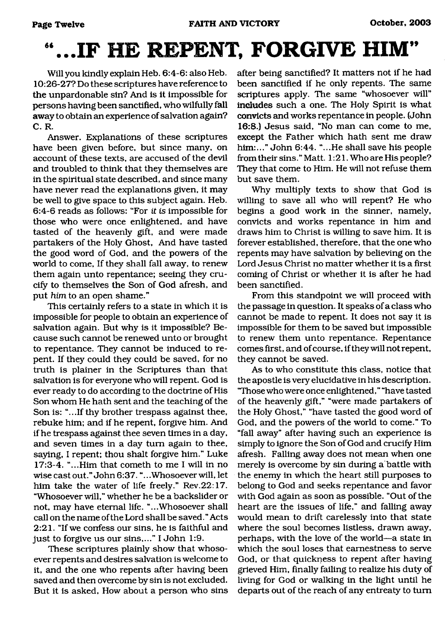# **"...IF HE REPENT. FORGIVE HIM"**

Will you kindly explain Heb. 6:4-6: also Heb. 10:26-27? Do these scriptures have reference to the unpardonable sin? And is it impossible for persons having been sanctified, who wilfully fall away to obtain an experience of salvation again? C. R.

Answer. Explanations of these scriptures have been given before, but since many, on account of these texts, are accused of the devil and troubled to think that they themselves are in the spiritual state described, and since many have never read the explanations given, it may be well to give space to this subject again. Heb. 6:4-6 reads as follows: "For *it is* impossible for those who were once enlightened, and have tasted of the heavenly gift, and were made partakers of the Holy Ghost, And have tasted the good word of God, and the powers of the world to come, If they shall fall away, to renew them again unto repentance; seeing they crucify to themselves the Son of God afresh, and put *him* to an open shame."

This certainly refers to a state in which it is impossible for people to obtain an experience of salvation again. But why is it impossible? Because such cannot be renewed unto or brought to repentance. They cannot be induced to repent. If they could they could be saved, for no truth is plainer in the Scriptures than that salvation is for everyone who will repent. God is ever ready to do according to the doctrine of His Son whom He hath sent and the teaching of the Son is: "...If thy brother trespass against thee, rebuke him; and if he repent, forgive him. And if he trespass against thee seven times in a day, and seven times in a day turn again to thee, saying, I repent; thou shalt forgive him." Luke 17:3-4. "...Him that cometh to me I will in no wise cast out." John 6:37. "...Whosoever will, let him take the water of life freely." Rev.22:17. "Whosoever will," whether he be a backslider or not, may have eternal life. "...Whosoever shall call on the name of the Lord shall be saved." Acts 2:21. "If we confess our sins, he is faithful and just to forgive us our sins,..." I John 1:9.

These scriptures plainly show that whosoever repents and desires salvation is welcome to it, and the one who repents after having been saved and then overcome by sin is not excluded. But it is asked, How about a person who sins

after being sanctified? It matters not if he had been sanctified if he only repents. The same scriptures apply. The same "whosoever will" includes such a one. The Holy Spirit is what convicts and works repentance in people. (John 16:8.) Jesus said, "No man can come to me, except the Father which hath sent me draw him:..." John 6:44. "...He shall save his people from their sins." Matt. 1:21. Who are His people? They that come to Him. He will not refuse them but save them.

Why multiply texts to show that God is willing to save all who will repent? He who begins a good work in the sinner, namely, convicts and works repentance in him and draws him to Christ is willing to save him. It is forever established, therefore, that the one who repents may have salvation by believing on the Lord Jesus Christ no matter whether it is a first coming of Christ or whether it is after he had been sanctified.

From this standpoint we will proceed with the passage in question. It speaks of a class who cannot be made to repent. It does not say it is impossible for them to be saved but impossible to renew them unto repentance. Repentance comes first, and of course, if they will not repent, they cannot be saved.

As to who constitute this class, notice that the apostle is very elucidative in his description. "Those who were once enlightened," "have tasted of the heavenly gift," "were made partakers of the Holy Ghost," "have tasted the good word of God, and the powers of the world to come." To "fall away" after having such an experience is simply to ignore the Son of God and crucify Him afresh. Falling away does not mean when one merely is overcome by sin during a battle with the enemy in which the heart still purposes to belong to God and seeks repentance and favor with God again as soon as possible. "Out of the heart are the issues of life," and falling away would mean to drift carelessly into that state where the soul becomes listless, drawn away, perhaps, with the love of the world—a state in which the soul loses that earnestness to serve God, or that quickness to repent after having grieved Him, finally failing to realize his duty of living for God or walking in the light until he departs out of the reach of any entreaty to turn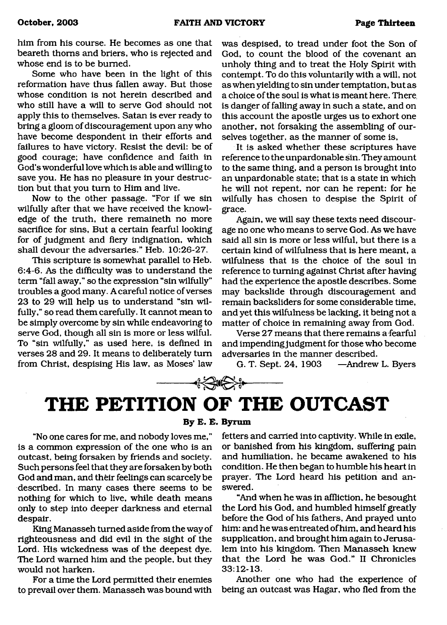him from his course. He becomes as one that beareth thorns and briers, who is rejected and whose end is to be burned.

Some who have been in the light of this reformation have thus fallen away. But those whose condition is not herein described and who still have a will to serve God should not apply this to themselves. Satan is ever ready to bring a gloom of discouragement upon any who have become despondent in their efforts and failures to have victory. Resist the devil: be of good courage; have confidence and faith in God's wonderful love which is able and willing to save you. He has no pleasure in your destruction but that you turn to Him and live.

Now to the other passage. "For if we sin wilfully after that we have received the knowledge of the truth, there remaineth no more sacrifice for sins, But a certain fearful looking for of judgment and fiery indignation, which shall devour the adversaries." Heb. 10:26-27.

This scripture is somewhat parallel to Heb. 6:4-6. As the difficulty was to understand the term "fall away," so the expression "sin wilfully" troubles a good many. A careful notice of verses 23 to 29 will help us to understand "sin wilfully," so read them carefully. It cannot mean to be simply overcome by sin while endeavoring to serve God, though all sin is more or less wilful. To "sin wilfully," as used here, is defined in verses 28 and 29. It means to deliberately turn from Christ, despising His law, as Moses' law

was despised, to tread under foot the Son of God, to count the blood of the covenant an unholy thing and to treat the Holy Spirit with contempt. To do this voluntarily with a will, not as when yielding to sin under temptation, but as a choice of the soul is what is meant here. There, is danger of falling away in such a state, and on this account the apostle urges us to exhort one another, not forsaking the assembling of ourselves together, as the manner of some is,

It is asked whether these scriptures have reference to the unpardonable sin. They amount to the same thing, and a person is brought into an unpardonable state; that is a state in which he will not repent, nor can he repent: for he wilfully has chosen to despise the Spirit of grace.

Again, we will say these texts need discourage no one who means to serve God. As we have said all sin is more or less wilful, but there is a certain kind of wilfulness that is here meant, a wilfulness that is the choice of the soul in reference to turning against Christ after having had the experience the apostle describes. Some may backslide through discouragement and remain backsliders for some considerable time, and yet this wilfulness be lacking, it being not a matter of choice in remaining away from God.

Verse 27 means that there remains a fearful and impending judgment for those who become adversaries in the manner described.

G. T. Sept. 24, 1903 —Andrew L. Byers

# <span id="page-12-0"></span>**THE PETITION OF THE OUTCAST**

 $\begin{picture}(20,20) \put(0,0){\line(1,0){10}} \put(15,0){\line(1,0){10}} \put(15,0){\line(1,0){10}} \put(15,0){\line(1,0){10}} \put(15,0){\line(1,0){10}} \put(15,0){\line(1,0){10}} \put(15,0){\line(1,0){10}} \put(15,0){\line(1,0){10}} \put(15,0){\line(1,0){10}} \put(15,0){\line(1,0){10}} \put(15,0){\line(1,0){10}} \put(15,0){\line(1$ 

**By B. B. Byram**

"No one cares for me, and nobody loves me," is a common expression of the one who is an outcast, being forsaken by friends and society. Such persons feel that they are forsaken by both God and man, and their feelings can scarcely be described. In many cases there seems to be nothing for which to live, while death means only to step into deeper darkness and eternal despair.

King Manasseh turned aside from the way of righteousness and did evil in the sight of the Lord. His wickedness was of the deepest dye. The Lord warned him and the people, but they would not harken.

For a time the Lord permitted their enemies to prevail over them. Manasseh was bound with

fetters and carried into captivity. While in exile, or banished from his kingdom, suffering pain and humiliation, he became awakened to his condition. He then began to humble his heart in prayer. The Lord heard his petition and answered.

"And when he was in affliction, he besought the Lord his God, and humbled himself greatly before the God of his fathers, And prayed unto him: and he was entreated of him, and heard his supplication, and brought him again to Jerusalem into his kingdom. Then Manasseh knew that the Lord he was God." II Chronicles 33:12-13.

Another one who had the experience of being an outcast was Hagar, who fled from the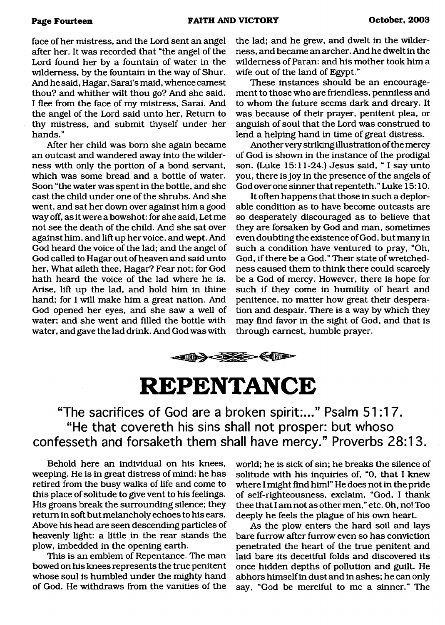face of her mistress, and the Lord sent an angel after her. It was recorded that "the angel of the Lord found her by a fountain of water in the wilderness, by the fountain in the way of Shur. And he said, Hagar, Sarai's maid, whence camest thou? and whither wilt thou go? And she said, I flee from the face of my mistress, Sarai. And the angel of the Lord said unto her, Return to thy mistress, and submit thyself under her hands."

After her child was born she again became an outcast and wandered away into the wilderness with only the portion of a bond servant, which was some bread and a bottle of water. Soon "the water was spent in the bottle, and she cast the child under one of the shrubs. And she went, and sat her down over against him a good way off, as it were a bowshot: for she said, Let me not see the death of the child. And she sat over against him, and lift up her voice, and wept. And God heard the voice of the lad; and the angel of God called to Hagar out of heaven and said unto her, What aileth thee, Hagar? Fear not; for God hath heard the voice of the lad where he is. Arise, lift up the lad, and hold him in thine hand; for I will make him a great nation. And God opened her eyes, and she saw a well of water; and she went and filled the bottle with water, and gave the lad drink. And God was with the lad; and he grew, and dwelt in the wilderness, and became an archer. And he dwelt in the wilderness of Paran: and his mother took him a wife out of the land of Egypt."

These instances should be an encouragement to those who are friendless, penniless and to whom the future seems dark and dreary. It was because of their prayer, penitent plea, or anguish of soul that the Lord was construed to lend a helping hand in time of great distress.

Another very striking illustration of the mercy of God is shown in the instance of the prodigal son. (Luke 15:11-24.) Jesus said, " I say unto you, there is joy in the presence of the angels of God over one sinner that repenteth." Luke 15:10.

It often happens that those in such a deplorable condition as to have become outcasts are so desperately discouraged as to believe that they are forsaken by God and man, sometimes even doubting the existence of God, but many in such a condition have ventured to pray, "Oh, God, if there be a God." Their state of wretchedness caused them to think there could scarcely be a God of mercy. However, there is hope for such if they come in humility of heart and penitence, no matter how great their desperation and despair. There is a way by which they may find favor in the sight of God, and that is through earnest, humble prayer.



<span id="page-13-0"></span>**REPENTANCE**

**"The sacrifices of God are a broken spirit:..." Psalm 51:17. "He that covereth his sins shall not prosper: but whoso confesseth and forsaketh them shall have mercy." Proverbs 28:13.**

Behold here an individual on his knees, weeping. He is in great distress of mind; he has retired from the busy walks of life and come to this place of solitude to give vent to his feelings. His groans break the surrounding silence; they return in soft but melancholy echoes to his ears. Above his head are seen descending particles of heavenly light: a little in the rear stands the plow, imbedded in the opening earth.

This is an emblem of Repentance. The man bowed on his knees represents the true penitent whose soul is humbled under the mighty hand of God. He withdraws from the vanities of the world; he is sick of sin; he breaks the silence of solitude with his inquiries of, "0, that I knew where I might find him!" He does not in the pride of self-righteousness, exclaim, "God, I thank thee that I am not as other men," etc. Oh, no! Too deeply he feels the plague of his own heart.

As the plow enters the hard soil and lays bare furrow after furrow even so has conviction penetrated the heart of the true penitent and laid bare its deceitful folds and discovered its once hidden depths of pollution and guilt. He abhors himself in dust and in ashes; he can only say, "God be merciful to me a sinner." The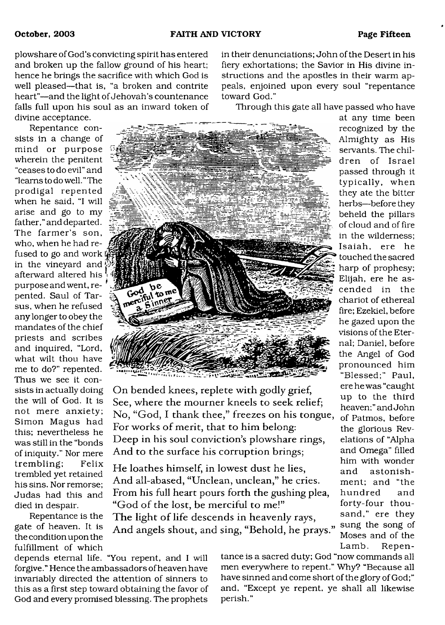plowshare of God's convicting spirit has entered and broken up the fallow ground of his heart; hence he brings the sacrifice with which God is well pleased—that is, "a broken and contrite heart"—and the light of Jehovah's countenance falls full upon his soul as an inward token of divine acceptance.

Repentance consists in a change of mind or purpose wherein the penitent "ceases to do evil" and "learns to do well. " The prodigal repented when he said, "I will arise and go to my father," and departed. The farmer's son, who, when he had refused to go and work in the vineyard and afterward altered his \* purpose and went, repented. Saul of Tarsus, when he refused any longer to obey the mandates of the chief priests and scribes and inquired, "Lord, what wilt thou have me to do?" repented. Thus we see it consists in actually doing the will of God. It is not mere anxiety; Simon Magus had this; nevertheless he was still in the "bonds of iniquity." Nor mere trem bling; Felix trembled yet retained his sins. Nor remorse; Judas had this and died in despair.

Repentance is the gate of heaven. It is the condition upon the fulfillment of which in their denunciations; John of the Desert in his fiery exhortations; the Savior in His divine instructions and the apostles in their warm appeals, enjoined upon every soul "repentance toward God."

Through this gate all have passed who have



On bended knees, replete with godly grief, See, where the mourner kneels to seek relief; No, "God, I thank thee," freezes on his tongue, For works of merit, that to him belong: Deep in his soul conviction's plowshare rings, And to the surface his corruption brings;

He loathes himself, in lowest dust he lies, And all-abased, "Unclean, unclean," he cries. From his full heart pours forth the gushing plea, "God of the lost, be merciful to me!" The light of life descends in heavenly rays,

And angels shout, and sing, "Behold, he prays."

depends eternal life. "You repent, and I will forgive." Hence the ambassadors of heaven have invariably directed the attention of sinners to this as a first step toward obtaining the favor of God and every promised blessing. The prophets

tance is a sacred duty; God "now commands all men everywhere to repent." Why? "Because all have sinned and come short of the glory of God;" and, "Except ye repent, ye shall all likewise perish."

at any time been recognized by the Almighty as His servants. The children of Israel passed through it typically, when they ate the bitter herbs—before they beheld the pillars of cloud and of fire in the wilderness; Isaiah, ere he touched the sacred harp of prophesy; Elijah, ere he ascended in the chariot of ethereal fire; Ezekiel, before he gazed upon the visions of the Eternal; Daniel, before the Angel of God pronounced him "Blessed;" Paul, ere he was "caught up to the third heaven;" and John of Patmos, before the glorious Revelations of "Alpha and Omega" filled him with wonder and astonishment; and "the hundred and forty-four thousand," ere they sung the song of Moses and of the Lamb. Repen